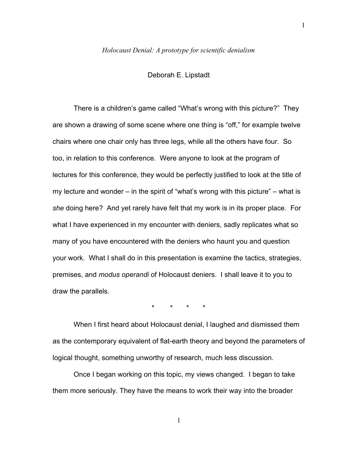### *Holocaust Denial: A prototype for scientific denialism*

Deborah E. Lipstadt

There is a children's game called "What's wrong with this picture?" They are shown a drawing of some scene where one thing is "off," for example twelve chairs where one chair only has three legs, while all the others have four. So too, in relation to this conference. Were anyone to look at the program of lectures for this conference, they would be perfectly justified to look at the title of my lecture and wonder – in the spirit of "what's wrong with this picture" – what is *she* doing here? And yet rarely have felt that my work is in its proper place. For what I have experienced in my encounter with deniers, sadly replicates what so many of you have encountered with the deniers who haunt you and question your work. What I shall do in this presentation is examine the tactics, strategies, premises, and *modus operandi* of Holocaust deniers. I shall leave it to you to draw the parallels.

\* \* \* \*

When I first heard about Holocaust denial, I laughed and dismissed them as the contemporary equivalent of flat-earth theory and beyond the parameters of logical thought, something unworthy of research, much less discussion.

Once I began working on this topic, my views changed. I began to take them more seriously. They have the means to work their way into the broader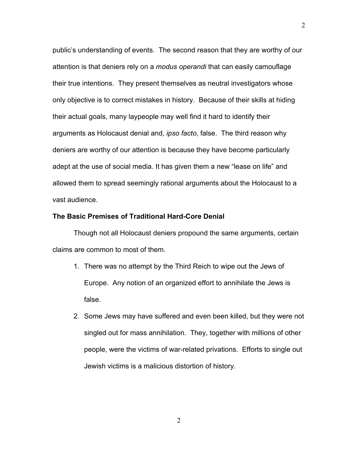public's understanding of events. The second reason that they are worthy of our attention is that deniers rely on a *modus operandi* that can easily camouflage their true intentions. They present themselves as neutral investigators whose only objective is to correct mistakes in history. Because of their skills at hiding their actual goals, many laypeople may well find it hard to identify their arguments as Holocaust denial and, *ipso facto*, false. The third reason why deniers are worthy of our attention is because they have become particularly adept at the use of social media. It has given them a new "lease on life" and allowed them to spread seemingly rational arguments about the Holocaust to a vast audience.

## **The Basic Premises of Traditional Hard-Core Denial**

Though not all Holocaust deniers propound the same arguments, certain claims are common to most of them.

- 1. There was no attempt by the Third Reich to wipe out the Jews of Europe. Any notion of an organized effort to annihilate the Jews is false.
- 2. Some Jews may have suffered and even been killed, but they were not singled out for mass annihilation. They, together with millions of other people, were the victims of war-related privations. Efforts to single out Jewish victims is a malicious distortion of history.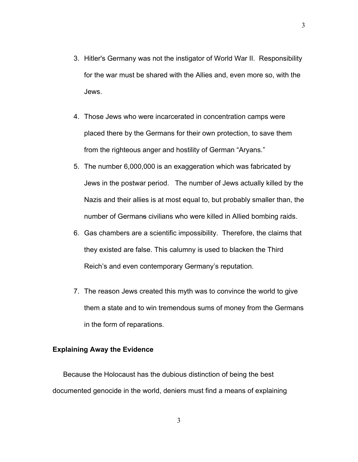- 3. Hitler's Germany was not the instigator of World War II. Responsibility for the war must be shared with the Allies and, even more so, with the Jews.
- 4. Those Jews who were incarcerated in concentration camps were placed there by the Germans for their own protection, to save them from the righteous anger and hostility of German "Aryans."
- 5. The number 6,000,000 is an exaggeration which was fabricated by Jews in the postwar period. The number of Jews actually killed by the Nazis and their allies is at most equal to, but probably smaller than, the number of Germans civilians who were killed in Allied bombing raids.
- 6. Gas chambers are a scientific impossibility. Therefore, the claims that they existed are false. This calumny is used to blacken the Third Reich's and even contemporary Germany's reputation.
- 7. The reason Jews created this myth was to convince the world to give them a state and to win tremendous sums of money from the Germans in the form of reparations.

#### **Explaining Away the Evidence**

Because the Holocaust has the dubious distinction of being the best documented genocide in the world, deniers must find a means of explaining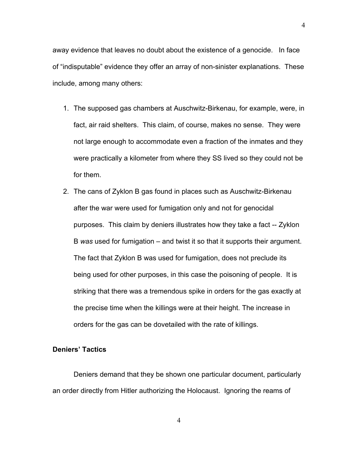away evidence that leaves no doubt about the existence of a genocide. In face of "indisputable" evidence they offer an array of non-sinister explanations. These include, among many others:

- 1. The supposed gas chambers at Auschwitz-Birkenau, for example, were, in fact, air raid shelters. This claim, of course, makes no sense. They were not large enough to accommodate even a fraction of the inmates and they were practically a kilometer from where they SS lived so they could not be for them.
- 2. The cans of Zyklon B gas found in places such as Auschwitz-Birkenau after the war were used for fumigation only and not for genocidal purposes. This claim by deniers illustrates how they take a fact -- Zyklon B *was* used for fumigation – and twist it so that it supports their argument. The fact that Zyklon B was used for fumigation, does not preclude its being used for other purposes, in this case the poisoning of people. It is striking that there was a tremendous spike in orders for the gas exactly at the precise time when the killings were at their height. The increase in orders for the gas can be dovetailed with the rate of killings.

## **Deniers' Tactics**

Deniers demand that they be shown one particular document, particularly an order directly from Hitler authorizing the Holocaust. Ignoring the reams of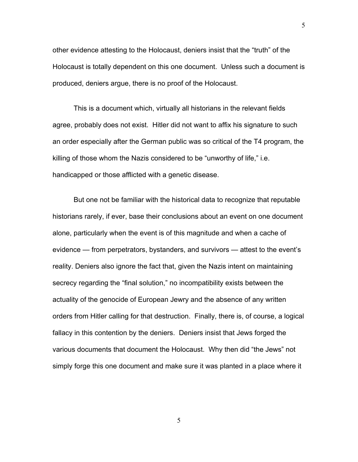other evidence attesting to the Holocaust, deniers insist that the "truth" of the Holocaust is totally dependent on this one document. Unless such a document is produced, deniers argue, there is no proof of the Holocaust.

This is a document which, virtually all historians in the relevant fields agree, probably does not exist. Hitler did not want to affix his signature to such an order especially after the German public was so critical of the T4 program, the killing of those whom the Nazis considered to be "unworthy of life," i.e. handicapped or those afflicted with a genetic disease.

But one not be familiar with the historical data to recognize that reputable historians rarely, if ever, base their conclusions about an event on one document alone, particularly when the event is of this magnitude and when a cache of evidence — from perpetrators, bystanders, and survivors — attest to the event's reality. Deniers also ignore the fact that, given the Nazis intent on maintaining secrecy regarding the "final solution," no incompatibility exists between the actuality of the genocide of European Jewry and the absence of any written orders from Hitler calling for that destruction. Finally, there is, of course, a logical fallacy in this contention by the deniers. Deniers insist that Jews forged the various documents that document the Holocaust. Why then did "the Jews" not simply forge this one document and make sure it was planted in a place where it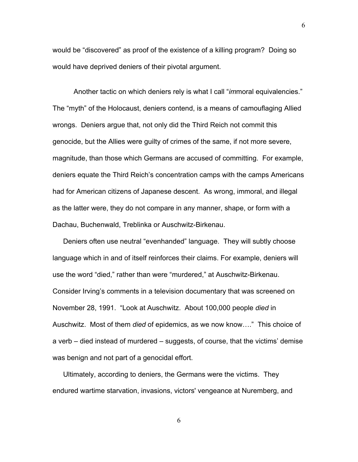would be "discovered" as proof of the existence of a killing program? Doing so would have deprived deniers of their pivotal argument.

Another tactic on which deniers rely is what I call "*im*moral equivalencies." The "myth" of the Holocaust, deniers contend, is a means of camouflaging Allied wrongs. Deniers argue that, not only did the Third Reich not commit this genocide, but the Allies were guilty of crimes of the same, if not more severe, magnitude, than those which Germans are accused of committing. For example, deniers equate the Third Reich's concentration camps with the camps Americans had for American citizens of Japanese descent. As wrong, immoral, and illegal as the latter were, they do not compare in any manner, shape, or form with a Dachau, Buchenwald, Treblinka or Auschwitz-Birkenau.

Deniers often use neutral "evenhanded" language. They will subtly choose language which in and of itself reinforces their claims. For example, deniers will use the word "died," rather than were "murdered," at Auschwitz-Birkenau. Consider Irving's comments in a television documentary that was screened on November 28, 1991. "Look at Auschwitz. About 100,000 people *died* in Auschwitz. Most of them *died* of epidemics, as we now know…." This choice of a verb – died instead of murdered – suggests, of course, that the victims' demise was benign and not part of a genocidal effort.

Ultimately, according to deniers, the Germans were the victims. They endured wartime starvation, invasions, victors' vengeance at Nuremberg, and

6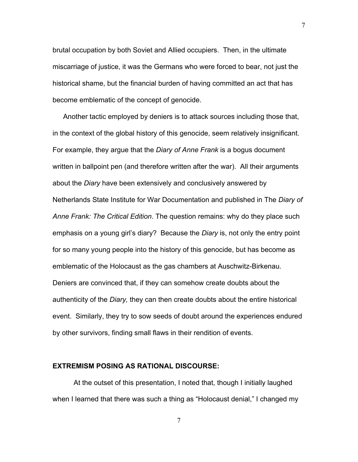brutal occupation by both Soviet and Allied occupiers. Then, in the ultimate miscarriage of justice, it was the Germans who were forced to bear, not just the historical shame, but the financial burden of having committed an act that has become emblematic of the concept of genocide.

Another tactic employed by deniers is to attack sources including those that, in the context of the global history of this genocide, seem relatively insignificant. For example, they argue that the *Diary of Anne Frank* is a bogus document written in ballpoint pen (and therefore written after the war). All their arguments about the *Diary* have been extensively and conclusively answered by Netherlands State Institute for War Documentation and published in The *Diary of Anne Frank: The Critical Edition*. The question remains: why do they place such emphasis on a young girl's diary? Because the *Diary* is, not only the entry point for so many young people into the history of this genocide, but has become as emblematic of the Holocaust as the gas chambers at Auschwitz-Birkenau. Deniers are convinced that, if they can somehow create doubts about the authenticity of the *Diary,* they can then create doubts about the entire historical event. Similarly, they try to sow seeds of doubt around the experiences endured by other survivors, finding small flaws in their rendition of events.

## **EXTREMISM POSING AS RATIONAL DISCOURSE:**

At the outset of this presentation, I noted that, though I initially laughed when I learned that there was such a thing as "Holocaust denial," I changed my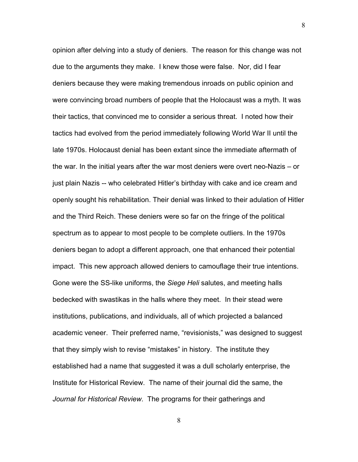opinion after delving into a study of deniers. The reason for this change was not due to the arguments they make. I knew those were false. Nor, did I fear deniers because they were making tremendous inroads on public opinion and were convincing broad numbers of people that the Holocaust was a myth. It was their tactics, that convinced me to consider a serious threat. I noted how their tactics had evolved from the period immediately following World War II until the late 1970s. Holocaust denial has been extant since the immediate aftermath of the war. In the initial years after the war most deniers were overt neo-Nazis – or just plain Nazis -- who celebrated Hitler's birthday with cake and ice cream and openly sought his rehabilitation. Their denial was linked to their adulation of Hitler and the Third Reich. These deniers were so far on the fringe of the political spectrum as to appear to most people to be complete outliers. In the 1970s deniers began to adopt a different approach, one that enhanced their potential impact. This new approach allowed deniers to camouflage their true intentions. Gone were the SS-like uniforms, the *Siege Heli* salutes, and meeting halls bedecked with swastikas in the halls where they meet. In their stead were institutions, publications, and individuals, all of which projected a balanced academic veneer. Their preferred name, "revisionists," was designed to suggest that they simply wish to revise "mistakes" in history. The institute they established had a name that suggested it was a dull scholarly enterprise, the Institute for Historical Review. The name of their journal did the same, the *Journal for Historical Review*. The programs for their gatherings and

8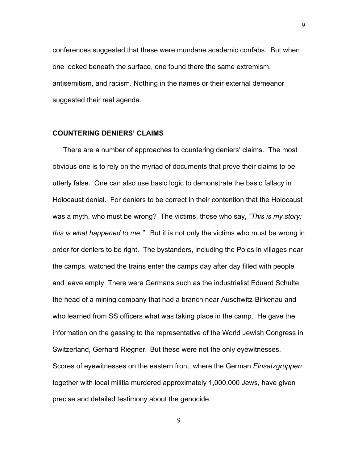conferences suggested that these were mundane academic confabs. But when one looked beneath the surface, one found there the same extremism, antisemitism, and racism. Nothing in the names or their external demeanor suggested their real agenda.

# **COUNTERING DENIERS' CLAIMS**

There are a number of approaches to countering deniers' claims. The most obvious one is to rely on the myriad of documents that prove their claims to be utterly false. One can also use basic logic to demonstrate the basic fallacy in Holocaust denial. For deniers to be correct in their contention that the Holocaust was a myth, who must be wrong? The victims, those who say, *"This is my story; this is what happened to me."* But it is not only the victims who must be wrong in order for deniers to be right. The bystanders, including the Poles in villages near the camps, watched the trains enter the camps day after day filled with people and leave empty. There were Germans such as the industrialist Eduard Schulte, the head of a mining company that had a branch near Auschwitz-Birkenau and who learned from SS officers what was taking place in the camp. He gave the information on the gassing to the representative of the World Jewish Congress in Switzerland, Gerhard Riegner. But these were not the only eyewitnesses. Scores of eyewitnesses on the eastern front, where the German *Einsatzgruppen* together with local militia murdered approximately 1,000,000 Jews, have given precise and detailed testimony about the genocide.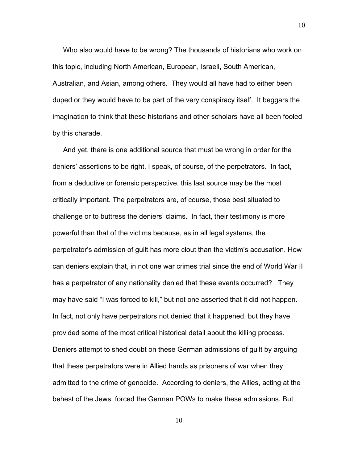Who also would have to be wrong? The thousands of historians who work on this topic, including North American, European, Israeli, South American, Australian, and Asian, among others. They would all have had to either been duped or they would have to be part of the very conspiracy itself. It beggars the imagination to think that these historians and other scholars have all been fooled by this charade.

And yet, there is one additional source that must be wrong in order for the deniers' assertions to be right. I speak, of course, of the perpetrators. In fact, from a deductive or forensic perspective, this last source may be the most critically important. The perpetrators are, of course, those best situated to challenge or to buttress the deniers' claims. In fact, their testimony is more powerful than that of the victims because, as in all legal systems, the perpetrator's admission of guilt has more clout than the victim's accusation. How can deniers explain that, in not one war crimes trial since the end of World War II has a perpetrator of any nationality denied that these events occurred? They may have said "I was forced to kill," but not one asserted that it did not happen. In fact, not only have perpetrators not denied that it happened, but they have provided some of the most critical historical detail about the killing process. Deniers attempt to shed doubt on these German admissions of guilt by arguing that these perpetrators were in Allied hands as prisoners of war when they admitted to the crime of genocide. According to deniers, the Allies, acting at the behest of the Jews, forced the German POWs to make these admissions. But

10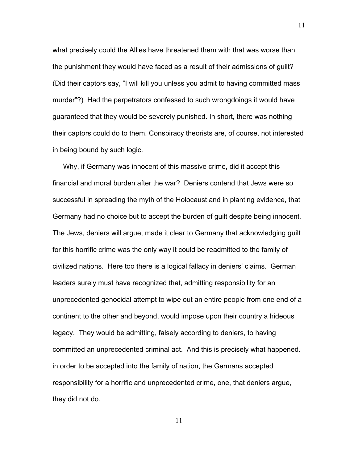what precisely could the Allies have threatened them with that was worse than the punishment they would have faced as a result of their admissions of guilt? (Did their captors say, "I will kill you unless you admit to having committed mass murder"?) Had the perpetrators confessed to such wrongdoings it would have guaranteed that they would be severely punished. In short, there was nothing their captors could do to them. Conspiracy theorists are, of course, not interested in being bound by such logic.

Why, if Germany was innocent of this massive crime, did it accept this financial and moral burden after the war? Deniers contend that Jews were so successful in spreading the myth of the Holocaust and in planting evidence, that Germany had no choice but to accept the burden of guilt despite being innocent*.* The Jews, deniers will argue, made it clear to Germany that acknowledging guilt for this horrific crime was the only way it could be readmitted to the family of civilized nations. Here too there is a logical fallacy in deniers' claims. German leaders surely must have recognized that, admitting responsibility for an unprecedented genocidal attempt to wipe out an entire people from one end of a continent to the other and beyond, would impose upon their country a hideous legacy. They would be admitting, falsely according to deniers, to having committed an unprecedented criminal act. And this is precisely what happened. in order to be accepted into the family of nation, the Germans accepted responsibility for a horrific and unprecedented crime, one, that deniers argue, they did not do.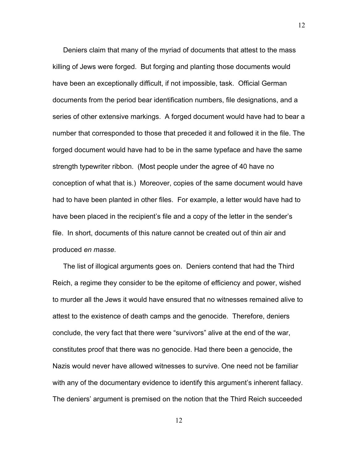Deniers claim that many of the myriad of documents that attest to the mass killing of Jews were forged. But forging and planting those documents would have been an exceptionally difficult, if not impossible, task. Official German documents from the period bear identification numbers, file designations, and a series of other extensive markings. A forged document would have had to bear a number that corresponded to those that preceded it and followed it in the file. The forged document would have had to be in the same typeface and have the same strength typewriter ribbon. (Most people under the agree of 40 have no conception of what that is.) Moreover, copies of the same document would have had to have been planted in other files. For example, a letter would have had to have been placed in the recipient's file and a copy of the letter in the sender's file. In short, documents of this nature cannot be created out of thin air and produced *en masse.*

The list of illogical arguments goes on. Deniers contend that had the Third Reich, a regime they consider to be the epitome of efficiency and power, wished to murder all the Jews it would have ensured that no witnesses remained alive to attest to the existence of death camps and the genocide. Therefore, deniers conclude, the very fact that there were "survivors" alive at the end of the war, constitutes proof that there was no genocide. Had there been a genocide, the Nazis would never have allowed witnesses to survive. One need not be familiar with any of the documentary evidence to identify this argument's inherent fallacy. The deniers' argument is premised on the notion that the Third Reich succeeded

12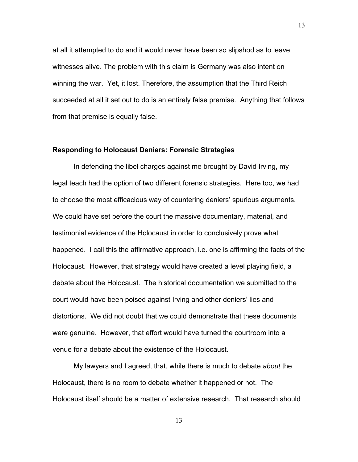at all it attempted to do and it would never have been so slipshod as to leave witnesses alive. The problem with this claim is Germany was also intent on winning the war. Yet, it lost. Therefore, the assumption that the Third Reich succeeded at all it set out to do is an entirely false premise. Anything that follows from that premise is equally false.

### **Responding to Holocaust Deniers: Forensic Strategies**

In defending the libel charges against me brought by David Irving, my legal teach had the option of two different forensic strategies. Here too, we had to choose the most efficacious way of countering deniers' spurious arguments. We could have set before the court the massive documentary, material, and testimonial evidence of the Holocaust in order to conclusively prove what happened. I call this the affirmative approach, i.e. one is affirming the facts of the Holocaust. However, that strategy would have created a level playing field, a debate about the Holocaust. The historical documentation we submitted to the court would have been poised against Irving and other deniers' lies and distortions. We did not doubt that we could demonstrate that these documents were genuine. However, that effort would have turned the courtroom into a venue for a debate about the existence of the Holocaust.

My lawyers and I agreed, that, while there is much to debate *about* the Holocaust, there is no room to debate whether it happened or not. The Holocaust itself should be a matter of extensive research. That research should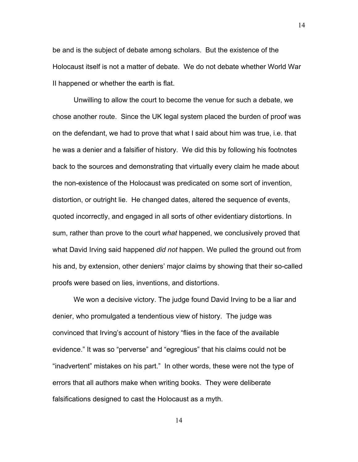be and is the subject of debate among scholars. But the existence of the Holocaust itself is not a matter of debate. We do not debate whether World War II happened or whether the earth is flat.

Unwilling to allow the court to become the venue for such a debate, we chose another route. Since the UK legal system placed the burden of proof was on the defendant, we had to prove that what I said about him was true, i.e. that he was a denier and a falsifier of history. We did this by following his footnotes back to the sources and demonstrating that virtually every claim he made about the non-existence of the Holocaust was predicated on some sort of invention, distortion, or outright lie. He changed dates, altered the sequence of events, quoted incorrectly, and engaged in all sorts of other evidentiary distortions. In sum, rather than prove to the court *what* happened, we conclusively proved that what David Irving said happened *did not* happen. We pulled the ground out from his and, by extension, other deniers' major claims by showing that their so-called proofs were based on lies, inventions, and distortions.

We won a decisive victory. The judge found David Irving to be a liar and denier, who promulgated a tendentious view of history. The judge was convinced that Irving's account of history "flies in the face of the available evidence." It was so "perverse" and "egregious" that his claims could not be "inadvertent" mistakes on his part." In other words, these were not the type of errors that all authors make when writing books. They were deliberate falsifications designed to cast the Holocaust as a myth.